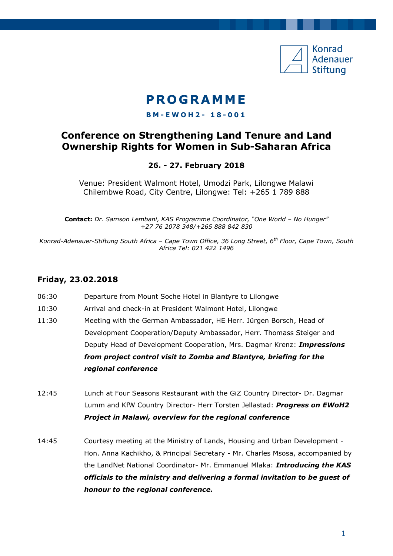

# **P RO G R AMM E**

#### **B M - E W O H 2 - 1 8 - 001**

## **Conference on Strengthening Land Tenure and Land Ownership Rights for Women in Sub-Saharan Africa**

### **26. - 27. February 2018**

Venue: President Walmont Hotel, Umodzi Park, Lilongwe Malawi Chilembwe Road, City Centre, Lilongwe: Tel: +265 1 789 888

**Contact:** *Dr. Samson Lembani, KAS Programme Coordinator, "One World – No Hunger" +27 76 2078 348/+265 888 842 830*

*Konrad-Adenauer-Stiftung South Africa – Cape Town Office, 36 Long Street, 6th Floor, Cape Town, South Africa Tel: 021 422 1496*

### **Friday, 23.02.2018**

i<br>1

- 06:30 Departure from Mount Soche Hotel in Blantyre to Lilongwe
- 10:30 Arrival and check-in at President Walmont Hotel, Lilongwe
- 11:30 Meeting with the German Ambassador, HE Herr. Jürgen Borsch, Head of Development Cooperation/Deputy Ambassador, Herr. Thomass Steiger and Deputy Head of Development Cooperation, Mrs. Dagmar Krenz: *Impressions from project control visit to Zomba and Blantyre, briefing for the regional conference*
- 12:45 Lunch at Four Seasons Restaurant with the GiZ Country Director- Dr. Dagmar Lumm and KfW Country Director- Herr Torsten Jellastad: *Progress on EWoH2 Project in Malawi, overview for the regional conference*
- 14:45 Courtesy meeting at the Ministry of Lands, Housing and Urban Development Hon. Anna Kachikho, & Principal Secretary - Mr. Charles Msosa, accompanied by the LandNet National Coordinator- Mr. Emmanuel Mlaka: *Introducing the KAS officials to the ministry and delivering a formal invitation to be guest of honour to the regional conference.*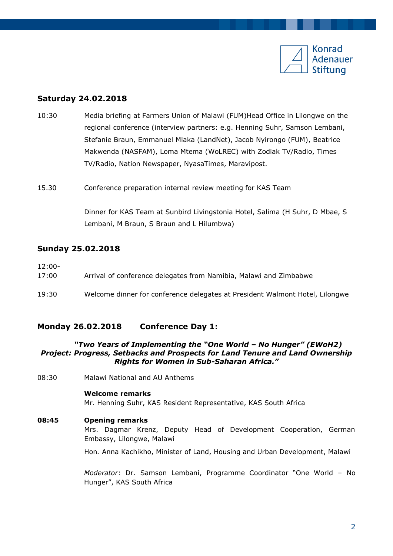

### **Saturday 24.02.2018**

- 10:30 Media briefing at Farmers Union of Malawi (FUM)Head Office in Lilongwe on the regional conference (interview partners: e.g. Henning Suhr, Samson Lembani, Stefanie Braun, Emmanuel Mlaka (LandNet), Jacob Nyirongo (FUM), Beatrice Makwenda (NASFAM), Loma Mtema (WoLREC) with Zodiak TV/Radio, Times TV/Radio, Nation Newspaper, NyasaTimes, Maravipost.
- 15.30 Conference preparation internal review meeting for KAS Team

Dinner for KAS Team at Sunbird Livingstonia Hotel, Salima (H Suhr, D Mbae, S Lembani, M Braun, S Braun and L Hilumbwa)

#### **Sunday 25.02.2018**

| $12:00-$<br>17:00 | Arrival of conference delegates from Namibia, Malawi and Zimbabwe            |
|-------------------|------------------------------------------------------------------------------|
| 19:30             | Welcome dinner for conference delegates at President Walmont Hotel, Lilongwe |

### **Monday 26.02.2018 Conference Day 1:**

#### *"Two Years of Implementing the "One World – No Hunger" (EWoH2) Project: Progress, Setbacks and Prospects for Land Tenure and Land Ownership Rights for Women in Sub-Saharan Africa."*

08:30 Malawi National and AU Anthems

#### **Welcome remarks**

Mr. Henning Suhr, KAS Resident Representative, KAS South Africa

#### **08:45 Opening remarks**

Mrs. Dagmar Krenz, Deputy Head of Development Cooperation, German Embassy, Lilongwe, Malawi

Hon*.* Anna Kachikho, Minister of Land, Housing and Urban Development, Malawi

*Moderator*: Dr. Samson Lembani, Programme Coordinator "One World – No Hunger", KAS South Africa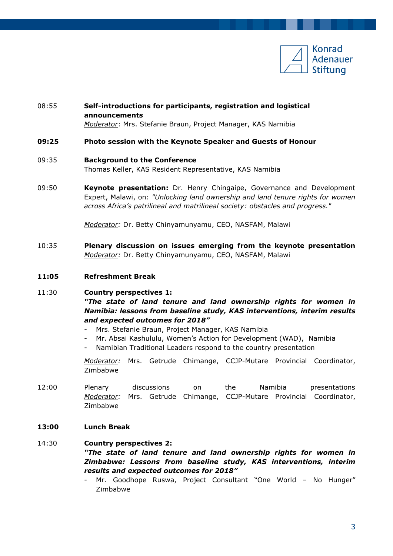

### 08:55 **Self-introductions for participants, registration and logistical announcements**

*Moderator*: Mrs. Stefanie Braun, Project Manager, KAS Namibia

#### **09:25 Photo session with the Keynote Speaker and Guests of Honour**

#### 09:35 **Background to the Conference**

Thomas Keller, KAS Resident Representative, KAS Namibia

09:50 **Keynote presentation:** Dr. Henry Chingaipe, Governance and Development Expert, Malawi, on: *"Unlocking land ownership and land tenure rights for women across Africa's patrilineal and matrilineal society: obstacles and progress."*

*Moderator:* Dr. Betty Chinyamunyamu, CEO, NASFAM, Malawi

- 10:35 **Plenary discussion on issues emerging from the keynote presentation** *Moderator:* Dr. Betty Chinyamunyamu, CEO, NASFAM, Malawi
- **11:05 Refreshment Break**

### 11:30 **Country perspectives 1:**  *"The state of land tenure and land ownership rights for women in Namibia: lessons from baseline study, KAS interventions, interim results and expected outcomes for 2018"*

- Mrs. Stefanie Braun, Project Manager, KAS Namibia
- Mr. Absai Kashululu, Women's Action for Development (WAD), Namibia
- Namibian Traditional Leaders respond to the country presentation

*Moderator:* Mrs. Getrude Chimange, CCJP-Mutare Provincial Coordinator, Zimbabwe

- 12:00 Plenary discussions on the Namibia presentations *Moderator:* Mrs. Getrude Chimange, CCJP-Mutare Provincial Coordinator, Zimbabwe
- **13:00 Lunch Break**

### 14:30 **Country perspectives 2:**  *"The state of land tenure and land ownership rights for women in Zimbabwe: Lessons from baseline study, KAS interventions, interim results and expected outcomes for 2018"*

Mr. Goodhope Ruswa, Project Consultant "One World - No Hunger" Zimbabwe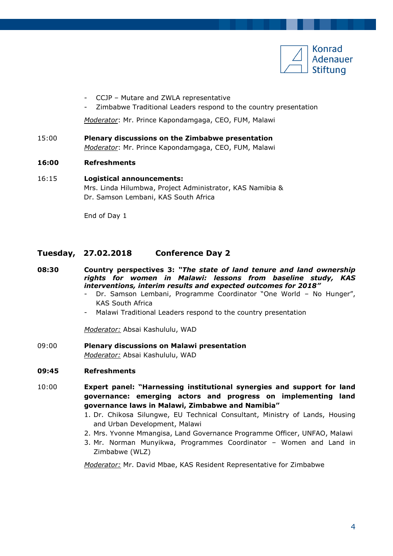

- CCJP Mutare and ZWLA representative
- Zimbabwe Traditional Leaders respond to the country presentation

*Moderator*: Mr. Prince Kapondamgaga, CEO, FUM, Malawi

15:00 **Plenary discussions on the Zimbabwe presentation**  *Moderator*: Mr. Prince Kapondamgaga, CEO, FUM, Malawi

#### **16:00 Refreshments**

16:15 **Logistical announcements:**  Mrs. Linda Hilumbwa, Project Administrator, KAS Namibia & Dr. Samson Lembani, KAS South Africa

End of Day 1

### **Tuesday, 27.02.2018 Conference Day 2**

- **08:30 Country perspectives 3:** *"The state of land tenure and land ownership rights for women in Malawi: lessons from baseline study, KAS interventions, interim results and expected outcomes for 2018"*
	- Dr. Samson Lembani, Programme Coordinator "One World No Hunger", KAS South Africa
	- Malawi Traditional Leaders respond to the country presentation

*Moderator:* Absai Kashululu, WAD

09:00 **Plenary discussions on Malawi presentation** *Moderator:* Absai Kashululu, WAD

#### **09:45 Refreshments**

- 10:00 **Expert panel: "Harnessing institutional synergies and support for land governance: emerging actors and progress on implementing land governance laws in Malawi, Zimbabwe and Namibia"**
	- 1. Dr. Chikosa Silungwe, EU Technical Consultant, Ministry of Lands, Housing and Urban Development, Malawi
	- 2. Mrs. Yvonne Mmangisa, Land Governance Programme Officer, UNFAO, Malawi
	- 3. Mr. Norman Munyikwa, Programmes Coordinator Women and Land in Zimbabwe (WLZ)

*Moderator:* Mr. David Mbae, KAS Resident Representative for Zimbabwe